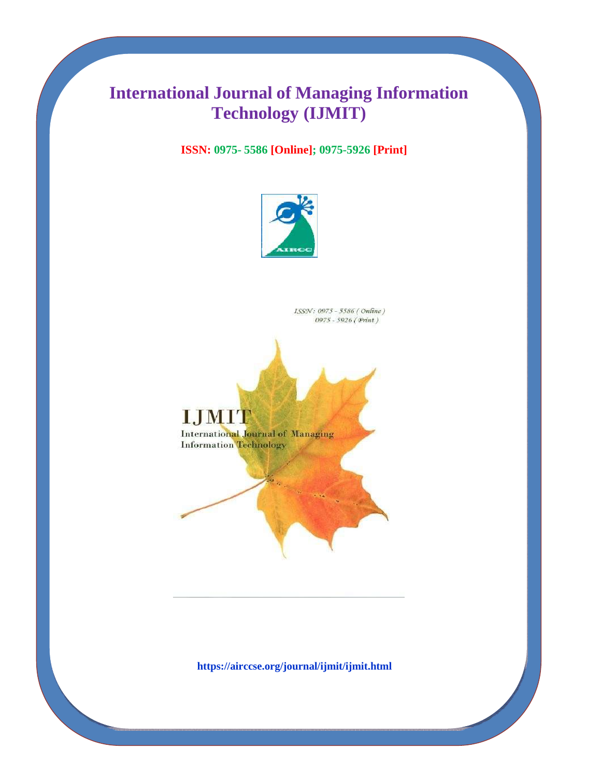## **International Journal of Managing Information Technology (IJMIT)**

**ISSN: 0975- 5586 [Online]; 0975-5926 [Print]**



ISSN: 0975 - 5586 (Online) 0975 - 5926 (Print)

**I,JMH** 

**International Journal of Managing Information Technology**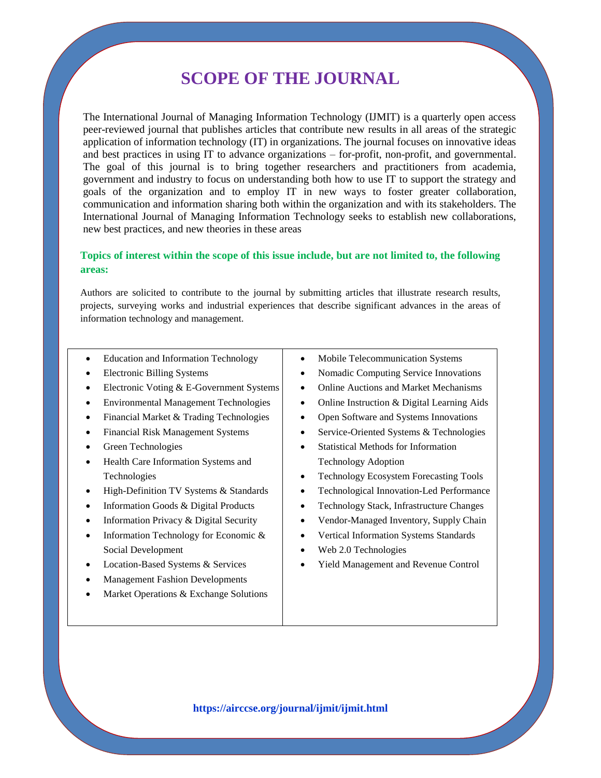### **SCOPE OF THE JOURNAL**

The International Journal of Managing Information Technology (IJMIT) is a quarterly open access peer-reviewed journal that publishes articles that contribute new results in all areas of the strategic application of information technology (IT) in organizations. The journal focuses on innovative ideas and best practices in using IT to advance organizations – for-profit, non-profit, and governmental. The goal of this journal is to bring together researchers and practitioners from academia, government and industry to focus on understanding both how to use IT to support the strategy and goals of the organization and to employ IT in new ways to foster greater collaboration, communication and information sharing both within the organization and with its stakeholders. The International Journal of Managing Information Technology seeks to establish new collaborations, new best practices, and new theories in these areas

#### **Topics of interest within the scope of this issue include, but are not limited to, the following areas:**

Authors are solicited to contribute to the journal by submitting articles that illustrate research results, projects, surveying works and industrial experiences that describe significant advances in the areas of information technology and management.

- Education and Information Technology
- Electronic Billing Systems
- Electronic Voting & E-Government Systems
- Environmental Management Technologies
- Financial Market & Trading Technologies
- Financial Risk Management Systems
- Green Technologies
- Health Care Information Systems and Technologies
- High-Definition TV Systems & Standards
- Information Goods & Digital Products
- Information Privacy & Digital Security
- Information Technology for Economic & Social Development
- Location-Based Systems & Services
- Management Fashion Developments
- Market Operations & Exchange Solutions
- Mobile Telecommunication Systems
- Nomadic Computing Service Innovations
- Online Auctions and Market Mechanisms
- Online Instruction & Digital Learning Aids
- Open Software and Systems Innovations
- Service-Oriented Systems & Technologies
- Statistical Methods for Information Technology Adoption
- Technology Ecosystem Forecasting Tools
- Technological Innovation-Led Performance
- Technology Stack, Infrastructure Changes
- Vendor-Managed Inventory, Supply Chain
- Vertical Information Systems Standards
- Web 2.0 Technologies
- Yield Management and Revenue Control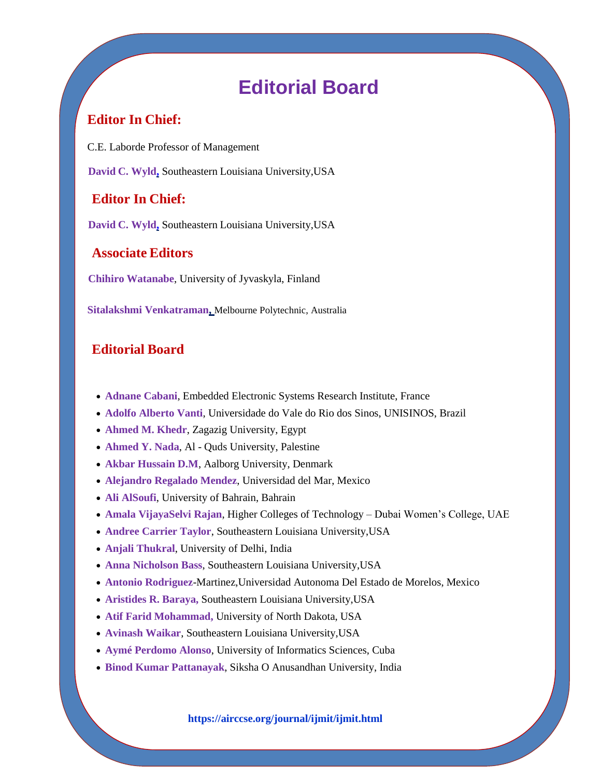## **Editorial Board**

### **Editor In Chief:**

C.E. Laborde Professor of Management

**David C. Wyld,** Southeastern Louisiana University,USA

### **Editor In Chief:**

**David C. Wyld,** Southeastern Louisiana University,USA

### **Associate Editors**

**Chihiro Watanabe**, University of Jyvaskyla, Finland

**Sitalakshmi Venkatraman,** Melbourne Polytechnic, Australia

### **Editorial Board**

- **[Adnane Cabani](http://scholar.google.com/scholar?q=Adnane+Cabani%2C+ESIGELEC%2FIRSEEM%2C+France&btnG=&hl=en&as_sdt=0%2C5)**, Embedded Electronic Systems Research Institute, France
- **[Adolfo Alberto Vanti](http://scholar.google.com/scholar?q=Adolfo+Alberto+Vanti%2C+Universidade+do+Vale+do+Rio+dos+Sinos%2C+UNISINOS%2C+Brazil&btnG=&hl=en&as_sdt=0%2C5)**, Universidade do Vale do Rio dos Sinos, UNISINOS, Brazil
- **[Ahmed M. Khedr](http://scholar.google.com/scholar?q=Ahmed+M.+Khedr%2C+Zagazig+University%2C+Egypt&btnG=&hl=en&as_sdt=0%2C5)**, Zagazig University, Egypt
- **[Ahmed Y. Nada](http://scholar.google.com/scholar?q=+Ahmed+Y.+Nada%2C+Al+-+Quds+University%2C+Palestine&btnG=&hl=en&as_sdt=0%2C5)**, Al Quds University, Palestine
- **[Akbar Hussain D.M](http://scholar.google.com/scholar?q=+D.+M.+Akbar+Hussain%2C+Aalborg+University%2C+Denmark&btnG=&hl=en&as_sdt=0%2C5)**, Aalborg University, Denmark
- **[Alejandro Regalado Mendez](http://scholar.google.com/scholar?q=+Alejandro+Regalado+Mendez%2C+Universidad+del+Mar&btnG=&hl=en&as_sdt=0%2C5)**, Universidad del Mar, Mexico
- **[Ali AlSoufi](https://scholar.google.co.in/citations?user=106qVD0AAAAJ)**, University of Bahrain, Bahrain
- **[Amala VijayaSelvi Rajan](http://scholar.google.com/scholar?q=Amala+VijayaSelvi+Rajan%2C+Higher+Colleges+of+Technology+%E2%80%93+Dubai+Women%E2%80%99s+College%2C+UAE&btnG=&hl=en&as_sdt=0%2C5)**, Higher Colleges of Technology Dubai Women's College, UAE
- **[Andree Carrier Taylor](http://scholar.google.com/scholar?q=Andree+Carrier+Taylor%2C+Southeastern+Louisiana+University%2CUSA&btnG=&hl=en&as_sdt=0%2C5)**, Southeastern Louisiana University,USA
- **[Anjali Thukral](http://scholar.google.com/scholar?q=+Anjali+Thukral%2C+University+of+Delhi%2C+India&btnG=&hl=en&as_sdt=0%2C5)**, University of Delhi, India
- **[Anna Nicholson Bass](http://scholar.google.com/scholar?q=Anna+Nicholson+Bass%2C+Southeastern+Louisiana+University%2CUSA&btnG=&hl=en&as_sdt=0%2C5)**, Southeastern Louisiana University,USA
- **[Antonio Rodriguez](http://scholar.google.com/scholar?q=Antonio+Rodriguez-Martinez%2C+Universidad+Autonoma+Del+Estado+de+Morelos%2C+Mexico&btnG=&hl=en&as_sdt=0%2C5)**-Martinez,Universidad Autonoma Del Estado de Morelos, Mexico
- **[Aristides R. Baraya,](http://scholar.google.com/scholar?q=+Aristides+R.+Baraya%2C+Southeastern+Louisiana+University%2CUSA&btnG=&hl=en&as_sdt=0%2C5)** Southeastern Louisiana University,USA
- **[Atif Farid Mohammad,](http://scholar.google.com/scholar?q=atif+Farid+Mohammad%2C+University+of+North+Dakota%2C+USA&btnG=&hl=en&as_sdt=0%2C5)** University of North Dakota, USA
- **[Avinash Waikar](http://scholar.google.com/scholar?q=Avinash+Waikar%2C+Southeastern+Louisiana+University%2CUSA&btnG=&hl=en&as_sdt=0%2C5)**, Southeastern Louisiana University,USA
- **[Aymé Perdomo Alonso](https://airccse.org/journal/ijmit/editorialboard.html)**, University of Informatics Sciences, Cuba
- **[Binod Kumar Pattanayak](http://scholar.google.com/scholar?q=Binod+Kumar+Pattanayak%2C&btnG=&hl=en&as_sdt=0%2C5)**, Siksha O Anusandhan University, India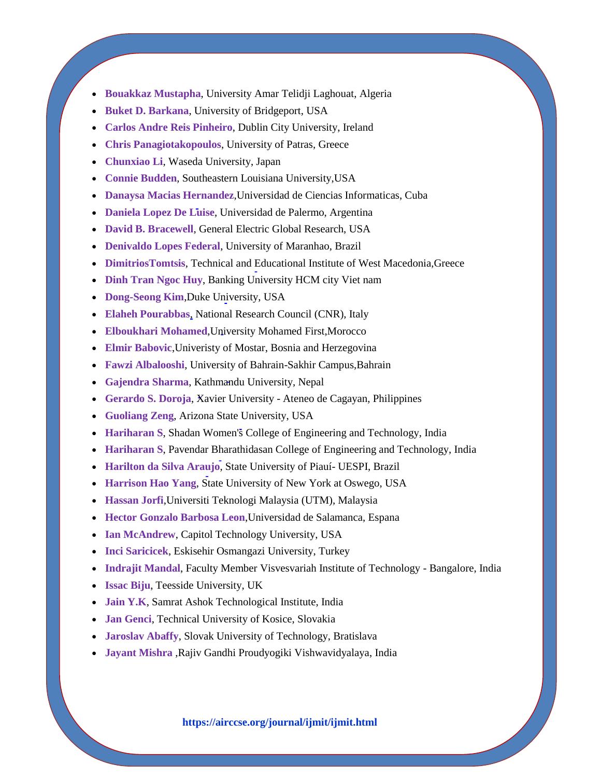- **Bouakkaz Mustapha**, University Amar Telidji Laghouat, Algeria
- **[Buket D. Barkana](http://scholar.google.com/scholar?q=Buket+D.+Barkana%2C+University+of+Bridgeport%2C+USA&btnG=&hl=en&as_sdt=0%2C5)**, University of Bridgeport, USA
- **[Carlos Andre Reis Pinheiro](http://scholar.google.com/scholar?q=Carlos+Andre+Reis+Pinheiro%2C+Dublin+City+University%2CIreland&btnG=&hl=en&as_sdt=0%2C5)**, Dublin City University, Ireland
- **[Chris Panagiotakopoulos](http://scholar.google.com/scholar?q=Chris+Panagiotakopoulos&btnG=&hl=en&as_sdt=0%2C5)**, University of Patras, Greece
- **[Chunxiao Li](http://scholar.google.com/scholar?q=chunxiao+Li%2C+Waseda+University%2C+Japan&btnG=&hl=en&as_sdt=0%2C5)**, Waseda University, Japan
- **[Connie Budden](http://scholar.google.com/scholar?q=connie+Budden%2C+Southeastern+Louisiana+University%2CUSA&btnG=&hl=en&as_sdt=0%2C5)**, Southeastern Louisiana University,USA
- **[Danaysa Macias Hernandez](http://scholar.google.com/scholar?q=Danaysa+Macias+Hernandez%2C+Universidad+de+Ciencias+Informaticas%2C+Cuba&btnG=&hl=en&as_sdt=0%2C5)**,Universidad de Ciencias Informaticas, Cuba
- **[Daniela Lopez De Luise](http://scholar.google.com/scholar?q=Daniela+Lopez+De+Luise%2C+Universidad+de+Palermo%2C+Argentina&btnG=&hl=en&as_sdt=0%2C5)**, Universidad de Palermo, Argentina
- **[David B. Bracewell](http://scholar.google.com/scholar?q=David+B.+Bracewell&btnG=&hl=en&as_sdt=0%2C5)**, General Electric Global Research, USA
- **[Denivaldo Lopes Federal](http://scholar.google.com/scholar?q=Denivaldo+Lopes+Federal%2C+University+of+Maranhao%2C+Brazil&btnG=&hl=en&as_sdt=0%2C5)**, University of Maranhao, Brazil
- **[DimitriosTomtsis](https://airccse.org/journal/ijmit/editorialboard.html)**, Technical and Educational Institute of West Macedonia,Greece
- **[Dinh Tran Ngoc Huy](https://scholar.google.com/citations?user=jlPeV7cAAAAJ&hl=en&oi=sra)**, Banking University HCM city Viet nam
- **[Dong-Seong Kim](http://scholar.google.com/scholar?q=+Dong-Seong+Kim&btnG=&hl=en&as_sdt=0%2C5)**,Duke University, USA
- **[Elaheh Pourabbas](https://scholar.google.com/citations?hl=en&user=EL3-nyQAAAAJ)**, National Research Council (CNR), Italy
- **[Elboukhari Mohamed](http://scholar.google.com/scholar?q=Elboukhari+Mohamed%2CUniversity+Mohamed+First%2CMorocco&btnG=&hl=en&as_sdt=0%2C5)**,University Mohamed First,Morocco
- **[Elmir Babovic](http://scholar.google.com/scholar?q=Elmir+Babovic%2C+Univeristy+of+Mostar%2C+Bosnia+and+Herzegovina&btnG=&hl=en&as_sdt=0%2C5)**,Univeristy of Mostar, Bosnia and Herzegovina
- **[Fawzi Albalooshi](http://scholar.google.com/scholar?q=Fawzi+Albalooshi%2C+University+of+Bahrain-Sakhir+Campus%2CBahrain&btnG=&hl=en&as_sdt=0%2C5)**, University of Bahrain-Sakhir Campus,Bahrain
- **[Gajendra Sharma](https://livedna.net/?dna=977.3229)**, Kathmandu University, Nepal
- **[Gerardo S. Doroja](http://scholar.google.com/scholar?q=Gerardo+S.+Doroja%2C+Xavier+University+-+Ateneo+de+Cagayan%2C+Philippines&btnG=&hl=en&as_sdt=0%2C5)**, Xavier University Ateneo de Cagayan, Philippines
- **[Guoliang Zeng](http://scholar.google.com/scholar?q=+Guoliang+Zeng%2C+Arizona+State+University%2C+USA&btnG=&hl=en&as_sdt=0%2C5)**, Arizona State University, USA
- **[Hariharan S](https://scholar.google.com/citations?user=fj6kV3kAAAAJ&hl=en)**, Shadan Women's College of Engineering and Technology, India
- **[Hariharan S](http://scholar.google.com/scholar?q=S.Hariharan%2C+Pavendar+Bharathidasan+College+of+Engineering+and+Technology%2C+India&btnG=&hl=en&as_sdt=0%2C5)**, Pavendar Bharathidasan College of Engineering and Technology, India
- **[Harilton da Silva Araujo](http://scholar.google.com/scholar?q=Harilton+da+Silva+Araujo%2C+University+of+Fortaleza%2C+Brazil&btnG=&hl=en&as_sdt=0%2C5)**, State University of Piauí- UESPI, Brazil
- **[Harrison Hao Yang](http://scholar.google.com/scholar?q=Harrison+Hao+Yang%2C+State+University+of+New+York+at+Oswego%2C+USA&btnG=&hl=en&as_sdt=0%2C5)**, State University of New York at Oswego, USA
- **[Hassan Jorfi](http://scholar.google.com/scholar?q=Hassan+Jorfi%2C+Universiti+Teknologi+Malaysia+%28UTM%29%2C+Malaysia&btnG=&hl=en&as_sdt=0%2C5)**,Universiti Teknologi Malaysia (UTM), Malaysia
- **[Hector Gonzalo Barbosa Leon](http://scholar.google.com/scholar?q=+++Hector+Gonzalo+Barbosa+Leon%2C+Universidad+de+Salamanca%2C+Espana&btnG=&hl=en&as_sdt=0%2C5)**,Universidad de Salamanca, Espana
- **[Ian McAndrew](https://scholar.google.com/citations?user=obFQeQ4AAAAJ&hl=en)**, Capitol Technology University, USA
- **[Inci Saricicek](http://scholar.google.com/scholar?q=Inci+Saricicek%2C+Eskisehir+Osmangazi+University%2C+Turkey&btnG=&hl=en&as_sdt=0%2C5)**, Eskisehir Osmangazi University, Turkey
- **[Indrajit Mandal](https://airccse.org/journal/ijmit/editorialboard.html)**, Faculty Member Visvesvariah Institute of Technology Bangalore, India
- **[Issac Biju](http://scholar.google.com/scholar?q=Issac+Biju&btnG=&hl=en&as_sdt=0%2C5)**, Teesside University, UK
- **[Jain Y.K](http://scholar.google.com/scholar?q=Y+K+Jain%2C+Samrat+Ashok+Technological+Institute%2C+India&btnG=&hl=en&as_sdt=0%2C5)**, Samrat Ashok Technological Institute, India
- **[Jan Genci](http://scholar.google.com/scholar?q=+Jan+Genci%2C+Technical+University+of+Kosice%2C+Slovakia&btnG=&hl=en&as_sdt=0%2C5)**, Technical University of Kosice, Slovakia
- **[Jaroslav Abaffy](http://scholar.google.com/scholar?q=+Jaroslav+Abaffy%2C+Slovak+University+of+Technology%2C+Bratislava&btnG=&hl=en&as_sdt=0%2C5)**, Slovak University of Technology, Bratislava
- **[Jayant Mishra](http://scholar.google.com/scholar?q=Jayant+Mishra%2C+RGPV+-+Bhopal%2C+India&btnG=&hl=en&as_sdt=0%2C5)** ,Rajiv Gandhi Proudyogiki Vishwavidyalaya, India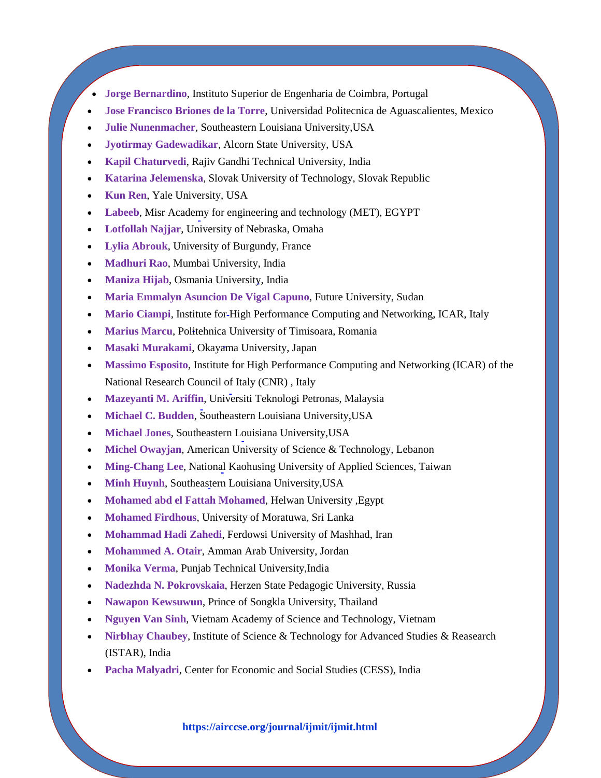- **[Jorge Bernardino](http://scholar.google.com/scholar?q=+Jorge+Bernardino&btnG=&hl=en&as_sdt=0%2C5)**, Instituto Superior de Engenharia de Coimbra, Portugal
- **[Jose Francisco Briones de la Torre](http://scholar.google.com/scholar?q=+Jose+Francisco+Briones+de+la+Torre%2C+Universidad+Politecnica+de+Aguascalientes%2C+Mexico&btnG=&hl=en&as_sdt=0%2C5)**, Universidad Politecnica de Aguascalientes, Mexico
- **[Julie Nunenmacher](http://scholar.google.com/scholar?q=Julie+Nunenmacher%2C+Southeastern+Louisiana+University%2CUSA&btnG=&hl=en&as_sdt=0%2C5)**, Southeastern Louisiana University,USA
- **[Jyotirmay Gadewadikar](http://scholar.google.com/scholar?q=Jyotirmay+Gadewadikar%2C+Alcorn+State+University%2C+USA&btnG=&hl=en&as_sdt=0%2C5)**, Alcorn State University, USA
- **[Kapil Chaturvedi](http://scholar.google.com/scholar?q=Kapil+Chaturvedi%2C+RGPV+-+Bhopal%2C+India&btnG=&hl=en&as_sdt=0%2C5)**, Rajiv Gandhi Technical University, India
- **[Katarina Jelemenska](http://scholar.google.com/scholar?q=Katarina+Jelemenska%2C+Instructor%09Slovak+University+of+Technology%2C+Slovak+Republic&btnG=&hl=en&as_sdt=0%2C5)**, Slovak University of Technology, Slovak Republic
- **[Kun Ren](https://scholar.google.com/scholar?q=Kun+Ren&btnG=&hl=en&as_sdt=0%2C5), Yale University, USA**
- **[Labeeb](http://scholar.google.com/scholar?q=Labeeb%2C+Misr+Academy+for+engineering+and+technology+%28MET%29%2C+EGYPT&btnG=&hl=en&as_sdt=0%2C5)**, Misr Academy for engineering and technology (MET), EGYPT
- **[Lotfollah Najjar](http://scholar.google.com/scholar?q=Lotfollah+Najjar%2C+University+of+Nebraska%2C+Omaha&btnG=&hl=en&as_sdt=0%2C5)**, University of Nebraska, Omaha
- **[Lylia Abrouk](http://scholar.google.com/scholar?q=Lylia+Abrouk%2C+University+of+Burgundy%2C+France&btnG=&hl=en&as_sdt=0%2C5)**, University of Burgundy, France
- **[Madhuri Rao](http://scholar.google.com/scholar?q=Madhuri+Rao%2C+Mumbai+University%2C+India&btnG=&hl=en&as_sdt=0%2C5)**, Mumbai University, India
- **[Maniza Hijab](http://scholar.google.com/scholar?q=Maniza+Hijab%2C+Osmania+University%2C+India&btnG=&hl=en&as_sdt=0%2C5)**, Osmania University, India
- **[Maria Emmalyn Asuncion De Vigal Capuno](https://scholar.google.com/citations?hl=en&user=8KopSssAAAAJ&view_op=list_works&gmla=)**, Future University, Sudan
- **[Mario Ciampi](http://scholar.google.com/scholar?q=Mario+Ciampi%2C+Institute+for+High+Performance+Computing+and+Networking%2C+ICAR%2C+Italy&btnG=&hl=en&as_sdt=0%2C5)**, Institute for High Performance Computing and Networking, ICAR, Italy
- **[Marius Marcu](http://scholar.google.com/scholar?q=Marius+Marcu%2C+Politehnica+University+of+Timisoara%2C+Romania&btnG=&hl=en&as_sdt=0%2C5), Politehnica University of Timisoara, Romania**
- **[Masaki Murakami](http://scholar.google.com/scholar?q=Masaki+Murakami%2C+Okayama+University%2C+Japan&btnG=&hl=en&as_sdt=0%2C5)**, Okayama University, Japan
- **[Massimo Esposito](http://scholar.google.com/scholar?q=Massimo+Esposito%2C+Institute+for+High+Performance+Computing+and+Networking+%28ICAR%29+of+the+National+Research+Council+of+Italy+%28CNR%29+%2C+Italy&btnG=&hl=en&as_sdt=0%2C5)**, Institute for High Performance Computing and Networking (ICAR) of the National Research Council of Italy (CNR) , Italy
- **[Mazeyanti M. Ariffin](http://scholar.google.com/scholar?q=Mazeyanti+M.+Ariffin%2C+Universiti+Teknologi+Petronas%2C+Malaysia&btnG=&hl=en&as_sdt=0%2C5)**, Universiti Teknologi Petronas, Malaysia
- **[Michael C. Budden](http://scholar.google.com/scholar?q=Michael+C.+Budden%2C+Southeastern+Louisiana+University%2CUSA&btnG=&hl=en&as_sdt=0%2C5)**, Southeastern Louisiana University,USA
- **[Michael Jones](http://scholar.google.com/scholar?q=Michael+Jones%2C+Southeastern+Louisiana+University%2CUSA&btnG=&hl=en&as_sdt=0%2C5)**, Southeastern Louisiana University,USA
- **[Michel Owayjan](http://scholar.google.com/scholar?q=Michel+Owayjan%2C+American+University+of+Science+%26+Technology%2C+Lebanon&btnG=&hl=en&as_sdt=0%2C5)**, American University of Science & Technology, Lebanon
- **[Ming-Chang Lee](https://airccse.org/journal/ijmit/editorialboard.html)**, National Kaohusing University of Applied Sciences, Taiwan
- **[Minh Huynh](http://scholar.google.com/scholar?q=Minh+Huynh%2C+Southeastern+Louisiana+University%2CUSA&btnG=&hl=en&as_sdt=0%2C5)**, Southeastern Louisiana University,USA
- **[Mohamed abd el Fattah Mohamed](http://scholar.google.com/scholar?q=Mohamed+abd+el+Fattah+Mohamed%2C+Helwan+University+%2CEgypt&btnG=&hl=en&as_sdt=0%2C5)**, Helwan University ,Egypt
- **[Mohamed Firdhous](http://scholar.google.com/scholar?q=Mohamed+Firdhous%2C+University+of+Moratuwa%2C+Sri+Lanka&btnG=&hl=en&as_sdt=0%2C5)**, University of Moratuwa, Sri Lanka
- **[Mohammad Hadi Zahedi](http://scholar.google.com/scholar?q=Mohammad+Hadi+Zahedi%2C+Ferdowsi+University+of+Mashhad%2C+Iran&btnG=&hl=en&as_sdt=0%2C5)**, Ferdowsi University of Mashhad, Iran
- **[Mohammed A. Otair](https://scholar.google.co.in/citations?user=HaUX_lIAAAAJ&hl=en)**, Amman Arab University, Jordan
- **[Monika Verma](http://scholar.google.com/scholar?q=Monika+Verma%2C+Punjab+Technical+University%2CIndia&btnG=&hl=en&as_sdt=0%2C5)**, Punjab Technical University,India
- **[Nadezhda N. Pokrovskaia](https://scholar.google.com/citations?user=wBeeO1kAAAAJ)**, Herzen State Pedagogic University, Russia
- **[Nawapon Kewsuwun](https://scholar.google.com/citations?user=pL2h0moAAAAJ&hl=en)**, Prince of Songkla University, Thailand
- **[Nguyen Van Sinh](http://scholar.google.com/scholar?q=Nguyen+Van+Sinh%2C+Vietnam+Academy+of+Science+and+Technology%2C+Vietnam&btnG=&hl=en&as_sdt=0%2C5)**, Vietnam Academy of Science and Technology, Vietnam
- **[Nirbhay Chaubey](http://scholar.google.com/scholar?q=Nirbhay+Chaubey%2C+Institute+of+Science+%26+Technology+for+Advanced+Studies+%26+Reasearch+%28ISTAR%29%2C+India&btnG=&hl=en&as_sdt=0%2C5)**, Institute of Science & Technology for Advanced Studies & Reasearch (ISTAR), India
- **[Pacha Malyadri](https://scholar.google.co.in/citations?user=V9iBqgwAAAAJ)**, Center for Economic and Social Studies (CESS), India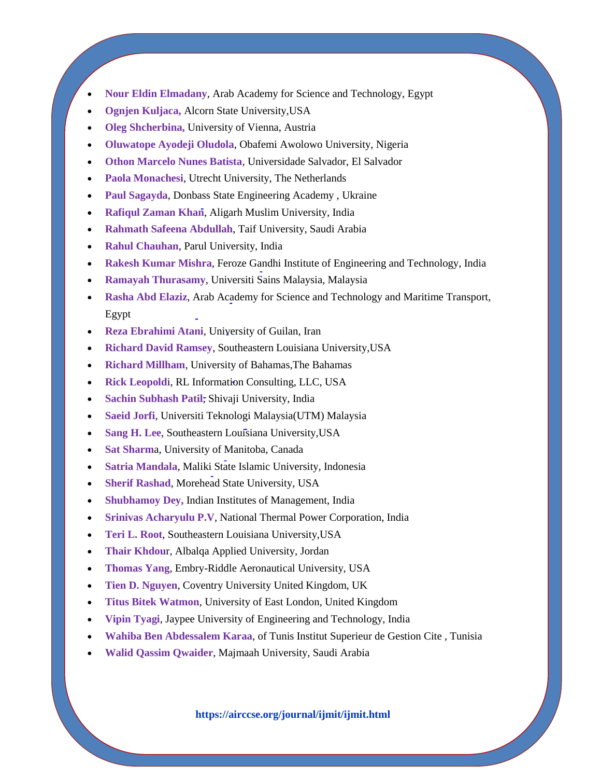- **[Nour Eldin Elmadany](http://scholar.google.com/scholar?q=Nour+Eldin+Elmadany%2C+Arab+Academy+for+Science+and+Technology%2C+Egypt&btnG=&hl=en&as_sdt=0%2C5)**, Arab Academy for Science and Technology, Egypt
- **[Ognjen Kuljaca,](http://scholar.google.com/scholar?q=Ognjen+Kuljaca%2C+Alcorn+State+University%2CUSA&btnG=&hl=en&as_sdt=0%2C5)** Alcorn State University,USA
- **[Oleg Shcherbina,](http://scholar.google.com/scholar?q=Oleg+Shcherbina%2C+University+of+Vienna%2C+Austria&btnG=&hl=en&as_sdt=0%2C5)** University of Vienna, Austria
- **[Oluwatope Ayodeji Oludola](https://airccse.org/journal/ijmit/editorialboard.html)**, Obafemi Awolowo University, Nigeria
- **[Othon Marcelo Nunes Batista](http://scholar.google.com/scholar?q=Othon+Marcelo+Nunes+Batista%2C+Universidade+Salvador%2C+El+Salvador&btnG=&hl=en&as_sdt=0%2C5)**, Universidade Salvador, El Salvador
- **[Paola Monachesi](http://scholar.google.com/scholar?q=Paola+Monachesi%2C+Utrecht+University%2C+The+Netherlands&btnG=&hl=en&as_sdt=0%2C5)**, Utrecht University, The Netherlands
- **[Paul Sagayda](https://airccse.org/journal/ijmit/editorialboard.html)**, Donbass State Engineering Academy , Ukraine
- **[Rafiqul Zaman Khan](http://scholar.google.com/scholar?q=Rafiqul+Zaman+Khan%2C+Aligarh+Muslim+University%2C+India&btnG=&hl=en&as_sdt=0%2C5)**, Aligarh Muslim University, India
- **[Rahmath Safeena Abdullah](http://scholar.google.com/scholar?q=Rahmath+Safeena+Abdullah&btnG=&hl=en&as_sdt=0%2C5)**, Taif University, Saudi Arabia
- **[Rahul Chauhan](https://scholar.google.co.in/citations?user=_uxeCTkAAAAJ&hl=en)**, Parul University, India
- **[Rakesh Kumar Mishra](http://scholar.google.com/scholar?q=Rakesh+Kumar+Mishra%2C+Feroze+Gandhi+Institute+of+Engineering+and+Technology%2C+India&btnG=&hl=en&as_sdt=0%2C5)**, Feroze Gandhi Institute of Engineering and Technology, India
- **[Ramayah Thurasamy](http://scholar.google.com/scholar?q=Ramayah+Thurasamy%2C+Universiti+Sains+Malaysia%2C+Malaysia&btnG=&hl=en&as_sdt=0%2C5)**, Universiti Sains Malaysia, Malaysia
- **[Rasha Abd Elaziz](http://scholar.google.com/scholar?q=Rasha+Abd+Elaziz%2C+Arab+Academy+for+Science+and+Technology+and+Maritime+Transport%2C+Egypt&btnG=&hl=en&as_sdt=0%2C5)**, Arab Academy for Science and Technology and Maritime Transport, Egypt
- **[Reza Ebrahimi Atani](http://scholar.google.com/scholar?q=Reza+Ebrahimi+Atani%2C+University+of+Guilan%2C+Iran&btnG=&hl=en&as_sdt=0%2C5)**, University of Guilan, Iran
- **[Richard David Ramsey](http://scholar.google.com/scholar?q=Richard+David+Ramsey%2C+Southeastern+Louisiana+University%2CUSA&btnG=&hl=en&as_sdt=0%2C5)**, Southeastern Louisiana University,USA
- **[Richard Millham](http://scholar.google.com/scholar?q=Richard+Millham%2C+University+of+Bahamas%2CThe+Bahamas&btnG=&hl=en&as_sdt=0%2C5)**, University of Bahamas,The Bahamas
- **[Rick Leopold](http://scholar.google.com/scholar?q=Rick+Leopoldi%2C+RL+Information+Consulting%2C+LLC%2C+USA&btnG=&hl=en&as_sdt=0%2C5)**i, RL Information Consulting, LLC, USA
- **[Sachin Subhash Patil](http://scholar.google.com/scholar?q=Sachin+Subhash+Patil%2C+Shivaji+University%2C+India&btnG=&hl=en&as_sdt=0%2C5)**, Shivaji University, India
- **[Saeid Jorfi](http://scholar.google.com/scholar?q=Saeid+Jorfi%2C+Universiti+Teknologi+Malaysia%28UTM%29%09Malaysia&btnG=&hl=en&as_sdt=0%2C5)**, Universiti Teknologi Malaysia(UTM) Malaysia
- **[Sang H. Lee](http://scholar.google.com/scholar?q=Sang+H.+Lee%2C+Southeastern+Louisiana+University%2CUSA&btnG=&hl=en&as_sdt=0%2C5)**, Southeastern Louisiana University,USA
- **[Sat Sharm](http://scholar.google.com/scholar?q=Sat+Sharma%2C+University+of+Manitoba%2C+Canada&btnG=&hl=en&as_sdt=0%2C5)**a, University of Manitoba, Canada
- **[Satria Mandala](http://scholar.google.com/scholar?q=Satria+Mandala%2C+Maliki+State+Islamic+University%2C+Indonesia&btnG=&hl=en&as_sdt=0%2C5)**, Maliki State Islamic University, Indonesia
- **[Sherif Rashad](http://scholar.google.com/scholar?q=Sherif+Rashad%2C+Morehead+State+University%2C+USA&btnG=&hl=en&as_sdt=0%2C5)**, Morehead State University, USA
- **[Shubhamoy Dey,](http://scholar.google.com/scholar?q=Shubhamoy+Dey%2C+IIM-Indore+India&btnG=&hl=en&as_sdt=0%2C5)** Indian Institutes of Management, India
- **[Srinivas Acharyulu P.V](http://scholar.google.com/scholar?q=P.V.Srinivas+Acharyulu%2C+NTPC+Limited%2C+India&btnG=&hl=en&as_sdt=0%2C5)**, National Thermal Power Corporation, India
- **[Teri L. Root](http://scholar.google.com/scholar?q=Teri+L.+Root%2C+Southeastern+Louisiana+University%2CUSA&btnG=&hl=en&as_sdt=0%2C5)**, Southeastern Louisiana University,USA
- **[Thair Khdou](http://scholar.google.com/scholar?q=Thair+Khdour%2C+Albalqa+Applied+University%2C+Jordan&btnG=&hl=en&as_sdt=0%2C5)**r, Albalqa Applied University, Jordan
- **[Thomas Yang](http://scholar.google.com/scholar?q=Thomas+Yang%2C+Embry-Riddle+Aeronautical+University%2C+USA&btnG=&hl=en&as_sdt=0%2C5)**, Embry-Riddle Aeronautical University, USA
- **[Tien D. Nguyen](http://scholar.google.com/scholar?q=Tien+D.+Nguyen%2C+Coventry+University+United+Kingdom%2C+UK&btnG=&hl=en&as_sdt=0%2C5)**, Coventry University United Kingdom, UK
- **[Titus Bitek Watmon](http://scholar.google.com/scholar?q=Titus+Bitek+Watmon%2C+University+of+East+London%2C+United+Kingdom&btnG=&hl=en&as_sdt=0%2C5)**, University of East London, United Kingdom
- **[Vipin Tyagi](http://scholar.google.com/scholar?q=Vipin+Tyagi%2C+Jaypee+University+of+Engineering+and+Technology%2C+India&btnG=&hl=en&as_sdt=0%2C5)**, Jaypee University of Engineering and Technology, India
- **[Wahiba Ben Abdessalem Karaa](http://scholar.google.com/scholar?q=Wahiba+Ben+Abdessalem+Karaa%2C+University+of+Tunis+Institut+Superieur+de+Gestion+Cite+%2C+Tunisia&btnG=&hl=en&as_sdt=0%2C5)**, of Tunis Institut Superieur de Gestion Cite , Tunisia
- **[Walid Qassim Qwaider](http://scholar.google.com/scholar?q=Walid+Qassim+Qwaider%2C+Majmaah+University%2C+Saudi+Arabia&btnG=&hl=en&as_sdt=0%2C5)**, Majmaah University, Saudi Arabia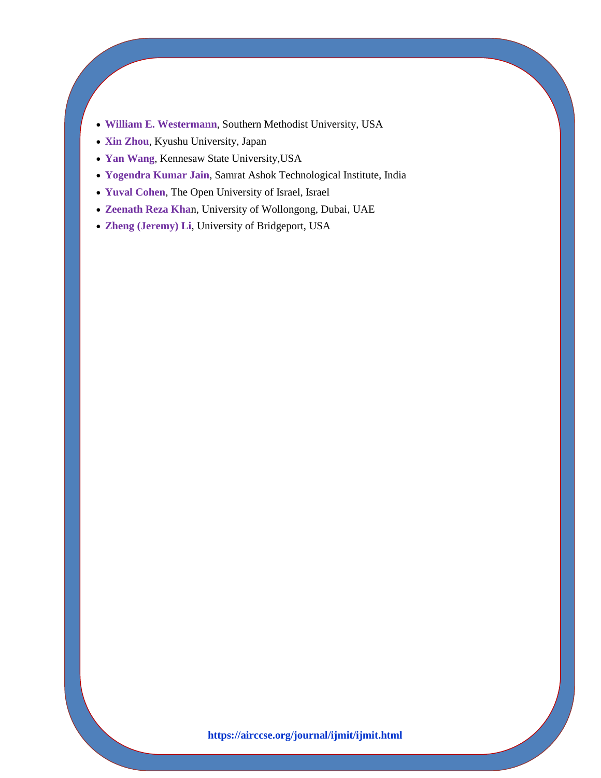- **[William E. Westermann](http://scholar.google.com/scholar?q=William+E.+Westermann%2C+Southern+Methodist+University%2C+USA&btnG=&hl=en&as_sdt=0%2C5)**, Southern Methodist University, USA
- **[Xin Zhou](http://scholar.google.co.in/scholar?q=Xin+Zhou&btnG=&hl=en&as_sdt=0%2C5)**, Kyushu University, Japan
- **[Yan Wang](https://scholar.google.co.in/scholar?hl=en&as_sdt=0%2C5&q=Yan+Wang%2CKennesaw+State+University%2CUSA&btnG=)**, Kennesaw State University,USA
- **[Yogendra Kumar Jain](http://scholar.google.com/scholar?q=Yogendra+Kumar+Jain%2C+Samrat+Ashok+Technological+Institute%2C+India&btnG=&hl=en&as_sdt=0%2C5)**, Samrat Ashok Technological Institute, India
- **[Yuval Cohen](http://scholar.google.com/scholar?q=Yuval+Cohen%2C+The+Open+University+of+Israel%2C+Israel&btnG=&hl=en&as_sdt=0%2C5)**, The Open University of Israel, Israel
- **[Zeenath Reza Kha](http://scholar.google.com/scholar?q=Zeenath+Reza+Khan%2C+University+of+Wollongong%2C+Dubai%2C+UAE&btnG=&hl=en&as_sdt=0%2C5)**n, University of Wollongong, Dubai, UAE
- **[Zheng \(Jeremy\) Li](http://scholar.google.com/scholar?q=Zheng+%28Jeremy%29+Li%2C+University+of+Bridgeport%2C+USA&btnG=&hl=en&as_sdt=0%2C5)**, University of Bridgeport, USA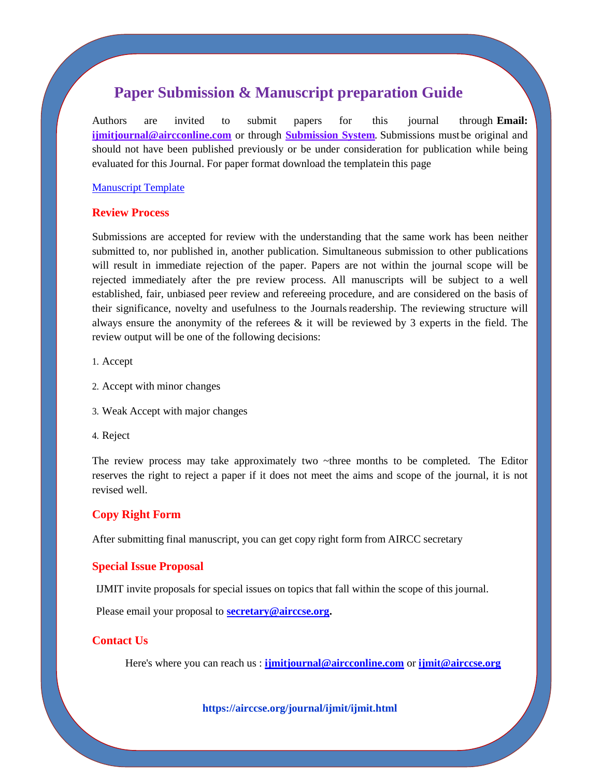### **Paper Submission & Manuscript preparation Guide**

Authors are invited to submit papers for this journal through **Email: [ijmitjournal@aircconline.com](mailto:ijmitjournal@aircconline.com)** or through **[Submission System](http://coneco2009.com/submissions/imagination/home.html)**. Submissions must be original and should not have been published previously or be under consideration for publication while being evaluated for this Journal. For paper format download the templatein this page

#### [Manuscript](http://airccse.org/journal/aircc_template.doc) Template

#### **Review Process**

Submissions are accepted for review with the understanding that the same work has been neither submitted to, nor published in, another publication. Simultaneous submission to other publications will result in immediate rejection of the paper. Papers are not within the journal scope will be rejected immediately after the pre review process. All manuscripts will be subject to a well established, fair, unbiased peer review and refereeing procedure, and are considered on the basis of their significance, novelty and usefulness to the Journalsreadership. The reviewing structure will always ensure the anonymity of the referees  $\&$  it will be reviewed by 3 experts in the field. The review output will be one of the following decisions:

1. Accept

- 2. Accept with minor changes
- 3. Weak Accept with major changes
- 4. Reject

The review process may take approximately two  $\sim$ three months to be completed. The Editor reserves the right to reject a paper if it does not meet the aims and scope of the journal, it is not revised well.

#### **Copy Right Form**

After submitting final manuscript, you can get copy right form from AIRCC secretary

#### **Special Issue Proposal**

IJMIT invite proposals for special issues on topics that fall within the scope of this journal.

Please email your proposal to **[secretary@airccse.org.](mailto:secretary@airccse.org)**

#### **Contact Us**

Here's where you can reach us : **[ijmitjournal@aircconline.com](mailto:ijmitjournal@aircconline.com)** or **[ijmit@airccse.org](mailto:ijmit@airccse.org)**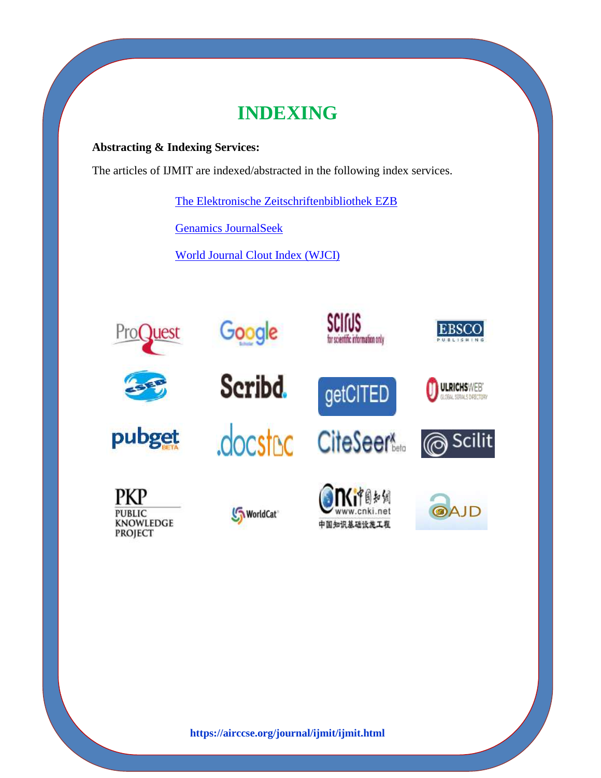# **INDEXING**

### **Abstracting & Indexing Services:**

The articles of IJMIT are indexed/abstracted in the following index services.

[The Elektronische Zeitschriftenbibliothek EZB](http://ezb.uni-regensburg.de/index.phtml?bibid=AAAAA&colors=1&lang=en)

[Genamics JournalSeek](http://journalseek.net/cgi-bin/journalseek/journalsearch.cgi?field=issn&query=0975-5926)

[World Journal Clout Index \(WJCI\)](https://wjci.cnki.net/UserIndex/JournalOverseaDetails?filename=ISSN0975-5926)

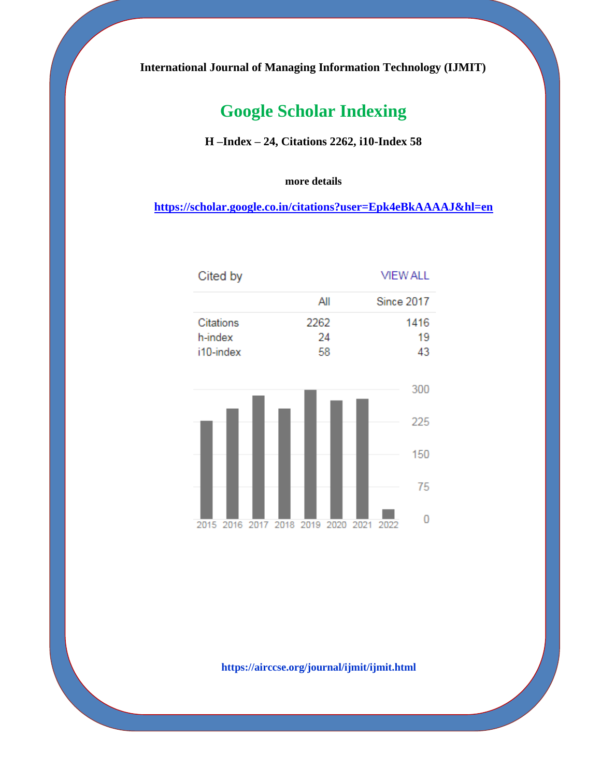**International Journal of Managing Information Technology (IJMIT)**

## **Google Scholar Indexing**

**H –Index – 24, Citations 2262, i10-Index 58**

**more details**

 **<https://scholar.google.co.in/citations?user=Epk4eBkAAAAJ&hl=en>**

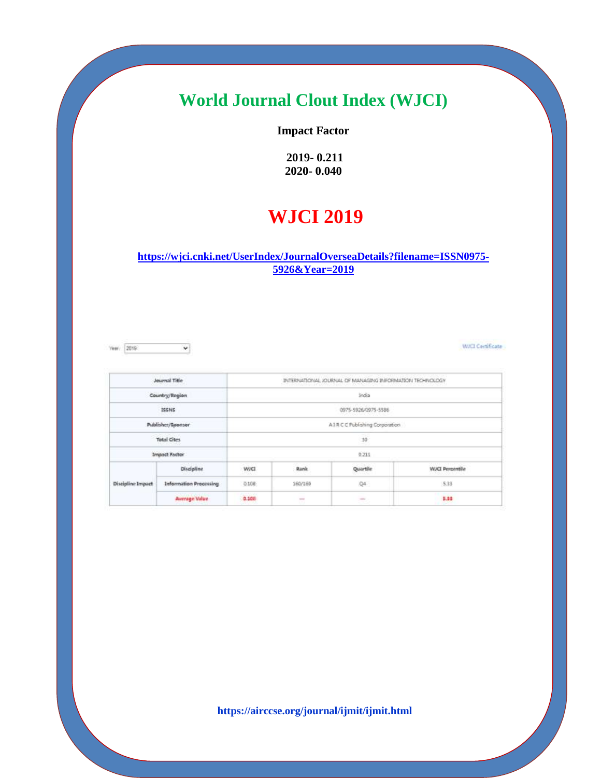## **World Journal Clout Index (WJCI)**

### **Impact Factor**

**2019- 0.211 2020- 0.040**

## **WJCI 2019**

**[https://wjci.cnki.net/UserIndex/JournalOverseaDetails?filename=ISSN0975-](https://wjci.cnki.net/UserIndex/JournalOverseaDetails?filename=ISSN0975-5926&Year=2019) [5926&Year=2019](https://wjci.cnki.net/UserIndex/JournalOverseaDetails?filename=ISSN0975-5926&Year=2019)**

Year. 2019  $\checkmark$  WICI Certificate

| Journal Title        |                               | INTERNATIONAL JOURNAL OF MANAGING INFORMATION TECHNOLOGY |             |          |                        |  |  |
|----------------------|-------------------------------|----------------------------------------------------------|-------------|----------|------------------------|--|--|
| Country/Region       |                               | India                                                    |             |          |                        |  |  |
| ISSNS                |                               | 0975-5926/0975-5586                                      |             |          |                        |  |  |
| Publisher/Sponsor    |                               | AIR C C Publishing Corporation                           |             |          |                        |  |  |
| <b>Total Cites</b>   |                               | $10\,$                                                   |             |          |                        |  |  |
| <b>Impact Factor</b> |                               | 0.213                                                    |             |          |                        |  |  |
| Discipline Impact    | <b>Discipline</b>             | WJC1                                                     | <b>Bank</b> | Quartile | <b>WJCI Perpentile</b> |  |  |
|                      | <b>Information Processing</b> | 0.108                                                    | 160/150     | Q4       | \$38                   |  |  |
|                      | <b>Joenage Value</b>          | 0.108                                                    | $\sim$      | $\sim$   | 5.88                   |  |  |